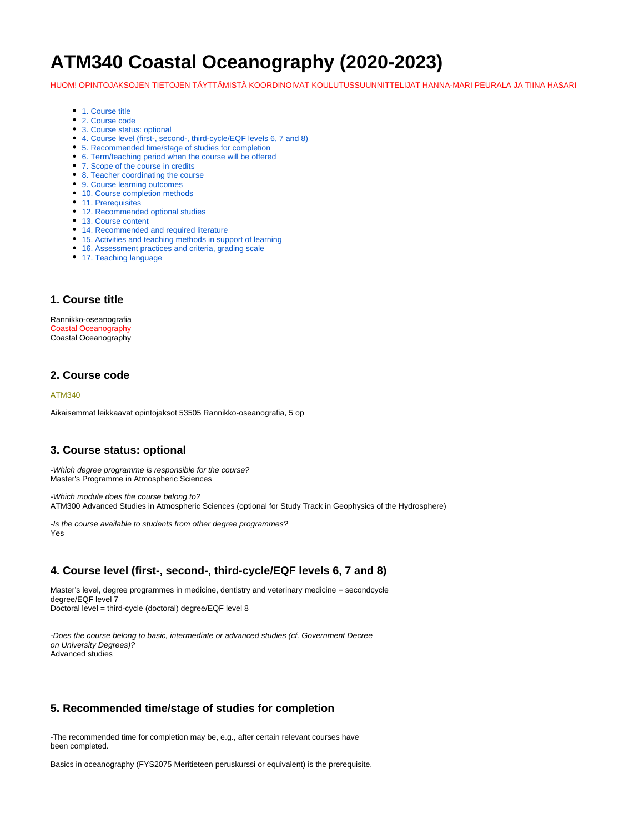# **ATM340 Coastal Oceanography (2020-2023)**

HUOM! OPINTOJAKSOJEN TIETOJEN TÄYTTÄMISTÄ KOORDINOIVAT KOULUTUSSUUNNITTELIJAT HANNA-MARI PEURALA JA TIINA HASARI

- [1. Course title](#page-0-0)
- [2. Course code](#page-0-1)
- [3. Course status: optional](#page-0-2)
- [4. Course level \(first-, second-, third-cycle/EQF levels 6, 7 and 8\)](#page-0-3)
- [5. Recommended time/stage of studies for completion](#page-0-4)
- [6. Term/teaching period when the course will be offered](#page-0-5)
- [7. Scope of the course in credits](#page-1-0)
- [8. Teacher coordinating the course](#page-1-1)
- [9. Course learning outcomes](#page-1-2)
- [10. Course completion methods](#page-1-3)
- [11. Prerequisites](#page-1-4)
- [12. Recommended optional studies](#page-1-5)
- [13. Course content](#page-1-6)
- [14. Recommended and required literature](#page-1-7)
- [15. Activities and teaching methods in support of learning](#page-2-0)
- [16. Assessment practices and criteria, grading scale](#page-2-1)
- [17. Teaching language](#page-2-2)

#### <span id="page-0-0"></span>**1. Course title**

Rannikko-oseanografia Coastal Oceanography Coastal Oceanography

### <span id="page-0-1"></span>**2. Course code**

#### ATM340

Aikaisemmat leikkaavat opintojaksot 53505 Rannikko-oseanografia, 5 op

### <span id="page-0-2"></span>**3. Course status: optional**

-Which degree programme is responsible for the course? Master's Programme in Atmospheric Sciences

-Which module does the course belong to? ATM300 Advanced Studies in Atmospheric Sciences (optional for Study Track in Geophysics of the Hydrosphere)

-Is the course available to students from other degree programmes? Yes

## <span id="page-0-3"></span>**4. Course level (first-, second-, third-cycle/EQF levels 6, 7 and 8)**

Master's level, degree programmes in medicine, dentistry and veterinary medicine = secondcycle degree/EQF level 7 Doctoral level = third-cycle (doctoral) degree/EQF level 8

-Does the course belong to basic, intermediate or advanced studies (cf. Government Decree on University Degrees)? Advanced studies

## <span id="page-0-4"></span>**5. Recommended time/stage of studies for completion**

-The recommended time for completion may be, e.g., after certain relevant courses have been completed.

<span id="page-0-5"></span>Basics in oceanography (FYS2075 Meritieteen peruskurssi or equivalent) is the prerequisite.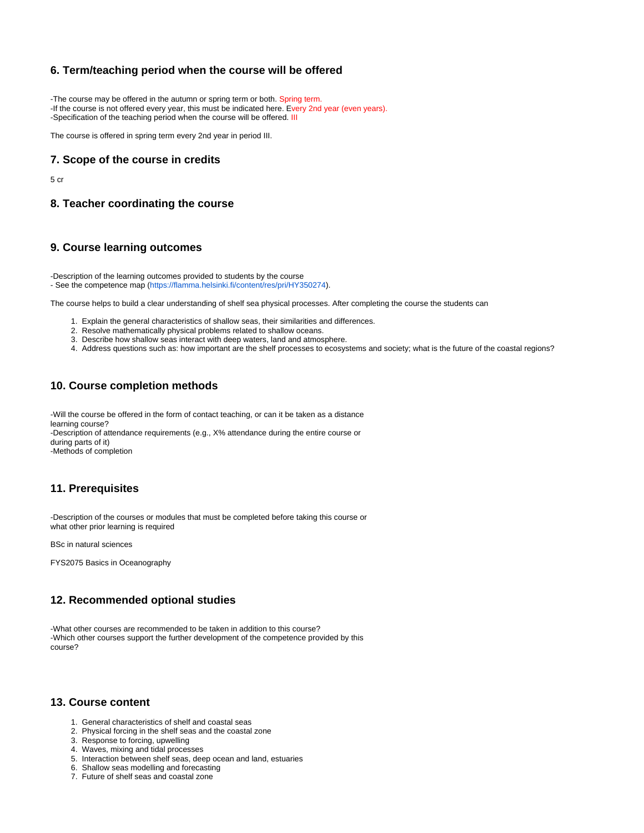## **6. Term/teaching period when the course will be offered**

-The course may be offered in the autumn or spring term or both. Spring term. -If the course is not offered every year, this must be indicated here. Every 2nd year (even years). -Specification of the teaching period when the course will be offered. III

The course is offered in spring term every 2nd year in period III.

## <span id="page-1-0"></span>**7. Scope of the course in credits**

5 cr

## <span id="page-1-1"></span>**8. Teacher coordinating the course**

#### <span id="page-1-2"></span>**9. Course learning outcomes**

-Description of the learning outcomes provided to students by the course - See the competence map ([https://flamma.helsinki.fi/content/res/pri/HY350274\)](https://flamma.helsinki.fi/content/res/pri/HY350274).

The course helps to build a clear understanding of shelf sea physical processes. After completing the course the students can

- 1. Explain the general characteristics of shallow seas, their similarities and differences.
- 2. Resolve mathematically physical problems related to shallow oceans.
- 3. Describe how shallow seas interact with deep waters, land and atmosphere.
- 4. Address questions such as: how important are the shelf processes to ecosystems and society; what is the future of the coastal regions?

## <span id="page-1-3"></span>**10. Course completion methods**

-Will the course be offered in the form of contact teaching, or can it be taken as a distance learning course? -Description of attendance requirements (e.g., X% attendance during the entire course or during parts of it) -Methods of completion

### <span id="page-1-4"></span>**11. Prerequisites**

-Description of the courses or modules that must be completed before taking this course or what other prior learning is required

BSc in natural sciences

FYS2075 Basics in Oceanography

## <span id="page-1-5"></span>**12. Recommended optional studies**

-What other courses are recommended to be taken in addition to this course? -Which other courses support the further development of the competence provided by this course?

#### <span id="page-1-6"></span>**13. Course content**

- 1. General characteristics of shelf and coastal seas
- 2. Physical forcing in the shelf seas and the coastal zone
- 3. Response to forcing, upwelling
- 4. Waves, mixing and tidal processes
- 5. Interaction between shelf seas, deep ocean and land, estuaries
- 6. Shallow seas modelling and forecasting
- <span id="page-1-7"></span>7. Future of shelf seas and coastal zone